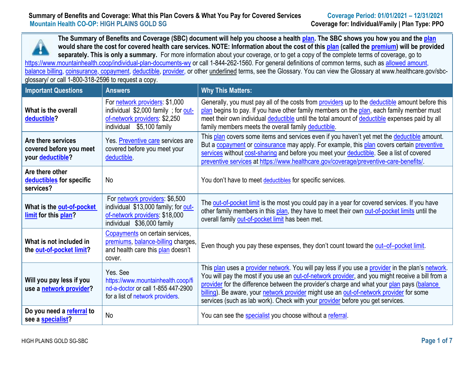# **Summary of Benefits and Coverage: What this Plan Covers & What You Pay for Covered Services Coverage Period: 01/01/2021 – 12/31/2021<br><b>Mountain Health CO-OP: HIGH PLAINS GOLD SG**



| <b>Important Questions</b>                                        | <b>Answers</b>                                                                                                                         | <b>Why This Matters:</b>                                                                                                                                                                                                                                                                                                                                                                                                                                                         |
|-------------------------------------------------------------------|----------------------------------------------------------------------------------------------------------------------------------------|----------------------------------------------------------------------------------------------------------------------------------------------------------------------------------------------------------------------------------------------------------------------------------------------------------------------------------------------------------------------------------------------------------------------------------------------------------------------------------|
| What is the overall<br>deductible?                                | For network providers: \$1,000<br>individual \$2,000 family; for out-<br>of-network providers: \$2,250<br>\$5,100 family<br>individual | Generally, you must pay all of the costs from <b>providers</b> up to the <b>deductible</b> amount before this<br>plan begins to pay. If you have other family members on the plan, each family member must<br>meet their own individual deductible until the total amount of deductible expenses paid by all<br>family members meets the overall family deductible.                                                                                                              |
| Are there services<br>covered before you meet<br>your deductible? | Yes. Preventive care services are<br>covered before you meet your<br>deductible.                                                       | This plan covers some items and services even if you haven't yet met the deductible amount.<br>But a copayment or coinsurance may apply. For example, this plan covers certain preventive<br>services without cost-sharing and before you meet your deductible. See a list of covered<br>preventive services at https://www.healthcare.gov/coverage/preventive-care-benefits/                                                                                                    |
| Are there other<br>deductibles for specific<br>services?          | No                                                                                                                                     | You don't have to meet deductibles for specific services.                                                                                                                                                                                                                                                                                                                                                                                                                        |
| What is the out-of-pocket<br>limit for this plan?                 | For network providers: \$6,500<br>individual \$13,000 family; for out-<br>of-network providers: \$18,000<br>individual \$36,000 family | The out-of-pocket limit is the most you could pay in a year for covered services. If you have<br>other family members in this plan, they have to meet their own out-of-pocket limits until the<br>overall family out-of-pocket limit has been met.                                                                                                                                                                                                                               |
| What is not included in<br>the out-of-pocket limit?               | Copayments on certain services,<br>premiums, balance-billing charges,<br>and health care this plan doesn't<br>cover.                   | Even though you pay these expenses, they don't count toward the out-of-pocket limit.                                                                                                                                                                                                                                                                                                                                                                                             |
| Will you pay less if you<br>use a network provider?               | Yes. See<br>https://www.mountainhealth.coop/fi<br>nd-a-doctor or call 1-855 447-2900<br>for a list of network providers.               | This plan uses a provider network. You will pay less if you use a provider in the plan's network.<br>You will pay the most if you use an out-of-network provider, and you might receive a bill from a<br>provider for the difference between the provider's charge and what your plan pays (balance<br>billing). Be aware, your network provider might use an out-of-network provider for some<br>services (such as lab work). Check with your provider before you get services. |
| Do you need a referral to<br>see a specialist?                    | No                                                                                                                                     | You can see the specialist you choose without a referral.                                                                                                                                                                                                                                                                                                                                                                                                                        |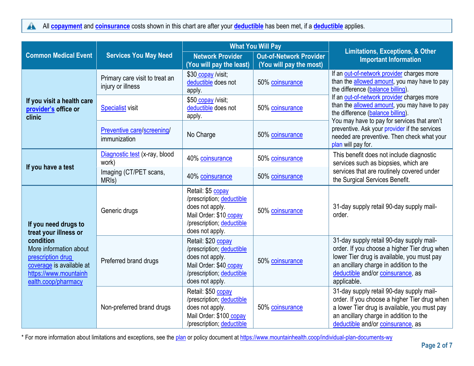All **[copayment](https://www.healthcare.gov/sbc-glossary/#copayment)** and **[coinsurance](https://www.healthcare.gov/sbc-glossary/#coinsurance)** costs shown in this chart are after your **[deductible](https://www.healthcare.gov/sbc-glossary/#deductible)** has been met, if a **deductible** applies.

|                                                                                                                                      |                                                     | <b>What You Will Pay</b>                                                                                                                     |                                                           | <b>Limitations, Exceptions, &amp; Other</b>                                                                                                                                                                                          |
|--------------------------------------------------------------------------------------------------------------------------------------|-----------------------------------------------------|----------------------------------------------------------------------------------------------------------------------------------------------|-----------------------------------------------------------|--------------------------------------------------------------------------------------------------------------------------------------------------------------------------------------------------------------------------------------|
| <b>Common Medical Event</b>                                                                                                          | <b>Services You May Need</b>                        | <b>Network Provider</b><br>(You will pay the least)                                                                                          | <b>Out-of-Network Provider</b><br>(You will pay the most) | <b>Important Information</b>                                                                                                                                                                                                         |
|                                                                                                                                      | Primary care visit to treat an<br>injury or illness | \$30 copay /visit;<br>deductible does not<br>apply.                                                                                          | 50% coinsurance                                           | If an out-of-network provider charges more<br>than the allowed amount, you may have to pay<br>the difference (balance billing).                                                                                                      |
| If you visit a health care<br>provider's office or<br>clinic                                                                         | <b>Specialist visit</b>                             | \$50 copay /visit;<br>deductible does not<br>apply.                                                                                          | 50% coinsurance                                           | If an out-of-network provider charges more<br>than the allowed amount, you may have to pay<br>the difference (balance billing).<br>You may have to pay for services that aren't                                                      |
|                                                                                                                                      | Preventive care/screening/<br>immunization          | No Charge                                                                                                                                    | 50% coinsurance                                           | preventive. Ask your provider if the services<br>needed are preventive. Then check what your<br>plan will pay for.                                                                                                                   |
|                                                                                                                                      | Diagnostic test (x-ray, blood<br>work)              | 40% coinsurance                                                                                                                              | 50% coinsurance                                           | This benefit does not include diagnostic<br>services such as biopsies, which are                                                                                                                                                     |
| If you have a test                                                                                                                   | Imaging (CT/PET scans,<br>MRI <sub>s</sub> )        | 40% coinsurance                                                                                                                              | 50% coinsurance                                           | services that are routinely covered under<br>the Surgical Services Benefit.                                                                                                                                                          |
| If you need drugs to<br>treat your illness or                                                                                        | Generic drugs                                       | Retail: \$5 copay<br>/prescription; deductible<br>does not apply.<br>Mail Order: \$10 copay<br>/prescription; deductible<br>does not apply.  | 50% coinsurance                                           | 31-day supply retail 90-day supply mail-<br>order.                                                                                                                                                                                   |
| condition<br>More information about<br>prescription drug<br>coverage is available at<br>https://www.mountainh<br>ealth.coop/pharmacy | Preferred brand drugs                               | Retail: \$20 copay<br>/prescription; deductible<br>does not apply.<br>Mail Order: \$40 copay<br>/prescription; deductible<br>does not apply. | 50% coinsurance                                           | 31-day supply retail 90-day supply mail-<br>order. If you choose a higher Tier drug when<br>lower Tier drug is available, you must pay<br>an ancillary charge in addition to the<br>deductible and/or coinsurance, as<br>applicable. |
|                                                                                                                                      | Non-preferred brand drugs                           | Retail: \$50 copay<br>/prescription; deductible<br>does not apply.<br>Mail Order: \$100 copay<br>/prescription; deductible                   | 50% coinsurance                                           | 31-day supply retail 90-day supply mail-<br>order. If you choose a higher Tier drug when<br>a lower Tier drug is available, you must pay<br>an ancillary charge in addition to the<br>deductible and/or coinsurance, as              |

\* For more information about limitations and exceptions, see the [plan](https://www.healthcare.gov/sbc-glossary/#plan) or policy document at<https://www.mountainhealth.coop/individual-plan-documents-wy>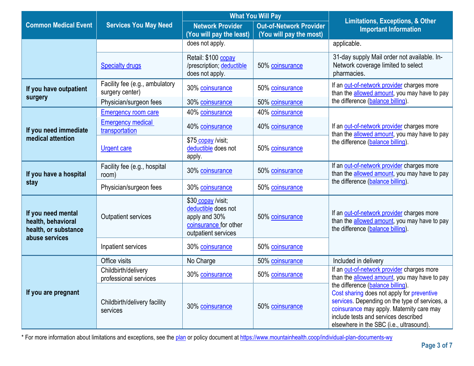|                                                                                    |                                                                          | <b>What You Will Pay</b>                                                                                   |                                                           | <b>Limitations, Exceptions, &amp; Other</b>                                                                                                                                                                                                                        |  |
|------------------------------------------------------------------------------------|--------------------------------------------------------------------------|------------------------------------------------------------------------------------------------------------|-----------------------------------------------------------|--------------------------------------------------------------------------------------------------------------------------------------------------------------------------------------------------------------------------------------------------------------------|--|
| <b>Common Medical Event</b>                                                        | <b>Services You May Need</b>                                             | <b>Network Provider</b><br>(You will pay the least)                                                        | <b>Out-of-Network Provider</b><br>(You will pay the most) | <b>Important Information</b>                                                                                                                                                                                                                                       |  |
|                                                                                    |                                                                          | does not apply.                                                                                            |                                                           | applicable.                                                                                                                                                                                                                                                        |  |
|                                                                                    | <b>Specialty drugs</b>                                                   | Retail: \$100 copay<br>/prescription; deductible<br>does not apply.                                        | 50% coinsurance                                           | 31-day supply Mail order not available. In-<br>Network coverage limited to select<br>pharmacies.                                                                                                                                                                   |  |
| If you have outpatient<br>surgery                                                  | Facility fee (e.g., ambulatory<br>surgery center)                        | 30% coinsurance                                                                                            | 50% coinsurance                                           | If an out-of-network provider charges more<br>than the allowed amount, you may have to pay<br>the difference (balance billing).                                                                                                                                    |  |
|                                                                                    | Physician/surgeon fees                                                   | 30% coinsurance                                                                                            | 50% coinsurance                                           |                                                                                                                                                                                                                                                                    |  |
| If you need immediate                                                              | <b>Emergency room care</b><br><b>Emergency medical</b><br>transportation | 40% coinsurance<br>40% coinsurance                                                                         | 40% coinsurance<br>40% coinsurance                        | If an out-of-network provider charges more<br>than the allowed amount, you may have to pay                                                                                                                                                                         |  |
| medical attention                                                                  | <b>Urgent care</b>                                                       | \$75 copay /visit;<br>deductible does not<br>apply.                                                        | 50% coinsurance                                           | the difference (balance billing)                                                                                                                                                                                                                                   |  |
| If you have a hospital                                                             | Facility fee (e.g., hospital<br>room)                                    | 30% coinsurance                                                                                            | 50% coinsurance                                           | If an out-of-network provider charges more<br>than the allowed amount, you may have to pay                                                                                                                                                                         |  |
| stay                                                                               | Physician/surgeon fees                                                   | 30% coinsurance                                                                                            | 50% coinsurance                                           | the difference (balance billing).                                                                                                                                                                                                                                  |  |
| If you need mental<br>health, behavioral<br>health, or substance<br>abuse services | Outpatient services                                                      | \$30 copay /visit;<br>deductible does not<br>apply and 30%<br>coinsurance for other<br>outpatient services | 50% coinsurance                                           | If an out-of-network provider charges more<br>than the allowed amount, you may have to pay<br>the difference (balance billing).                                                                                                                                    |  |
|                                                                                    | Inpatient services                                                       | 30% coinsurance                                                                                            | 50% coinsurance                                           |                                                                                                                                                                                                                                                                    |  |
|                                                                                    | Office visits                                                            | No Charge                                                                                                  | 50% coinsurance                                           | Included in delivery                                                                                                                                                                                                                                               |  |
|                                                                                    | Childbirth/delivery<br>professional services                             | 30% coinsurance                                                                                            | 50% coinsurance                                           | If an out-of-network provider charges more<br>than the allowed amount, you may have to pay                                                                                                                                                                         |  |
| If you are pregnant                                                                | Childbirth/delivery facility<br>services                                 | 30% coinsurance                                                                                            | 50% coinsurance                                           | the difference (balance billing).<br>Cost sharing does not apply for preventive<br>services. Depending on the type of services, a<br>coinsurance may apply. Maternity care may<br>include tests and services described<br>elsewhere in the SBC (i.e., ultrasound). |  |

\* For more information about limitations and exceptions, see the [plan](https://www.healthcare.gov/sbc-glossary/#plan) or policy document at<https://www.mountainhealth.coop/individual-plan-documents-wy>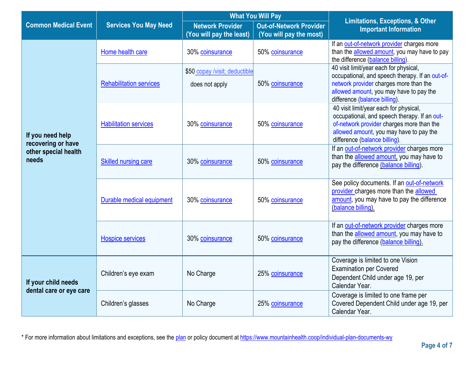|                                                |                                | <b>What You Will Pay</b>                            |                                                           | <b>Limitations, Exceptions, &amp; Other</b>                                                                                                                                                                     |  |
|------------------------------------------------|--------------------------------|-----------------------------------------------------|-----------------------------------------------------------|-----------------------------------------------------------------------------------------------------------------------------------------------------------------------------------------------------------------|--|
| <b>Common Medical Event</b>                    | <b>Services You May Need</b>   | <b>Network Provider</b><br>(You will pay the least) | <b>Out-of-Network Provider</b><br>(You will pay the most) | <b>Important Information</b>                                                                                                                                                                                    |  |
|                                                | Home health care               | 30% coinsurance                                     | 50% coinsurance                                           | If an out-of-network provider charges more<br>than the allowed amount, you may have to pay<br>the difference (balance billing).                                                                                 |  |
|                                                | <b>Rehabilitation services</b> | \$50 copay /visit; deductible<br>does not apply     | 50% coinsurance                                           | 40 visit limit/year each for physical,<br>occupational, and speech therapy. If an out-of-<br>network provider charges more than the<br>allowed amount, you may have to pay the<br>difference (balance billing). |  |
| If you need help<br>recovering or have         | <b>Habilitation services</b>   | 30% coinsurance                                     | 50% coinsurance                                           | 40 visit limit/year each for physical,<br>occupational, and speech therapy. If an out-<br>of-network provider charges more than the<br>allowed amount, you may have to pay the<br>difference (balance billing). |  |
| other special health<br>needs                  | <b>Skilled nursing care</b>    | 30% coinsurance                                     | 50% coinsurance                                           | If an out-of-network provider charges more<br>than the allowed amount, you may have to<br>pay the difference (balance billing).                                                                                 |  |
|                                                | Durable medical equipment      | 30% coinsurance                                     | 50% coinsurance                                           | See policy documents. If an out-of-network<br>provider charges more than the allowed<br>amount, you may have to pay the difference<br>(balance billing).                                                        |  |
|                                                | <b>Hospice services</b>        | 30% coinsurance                                     | 50% coinsurance                                           | If an out-of-network provider charges more<br>than the allowed amount, you may have to<br>pay the difference (balance billing).                                                                                 |  |
| If your child needs<br>dental care or eye care | Children's eye exam            | No Charge                                           | 25% coinsurance                                           | Coverage is limited to one Vision<br><b>Examination per Covered</b><br>Dependent Child under age 19, per<br>Calendar Year.                                                                                      |  |
|                                                | Children's glasses             | No Charge                                           | 25% coinsurance                                           | Coverage is limited to one frame per<br>Covered Dependent Child under age 19, per<br>Calendar Year.                                                                                                             |  |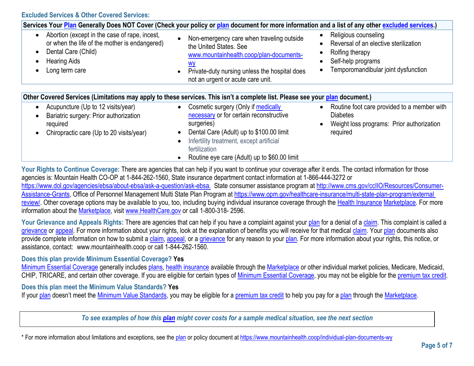**Excluded Services & Other Covered Services:**

| Services Your Plan Generally Does NOT Cover (Check your policy or plan document for more information and a list of any other excluded services.)               |                                                                                                                                                                                                                                                                                              |                                                                                                                                               |  |
|----------------------------------------------------------------------------------------------------------------------------------------------------------------|----------------------------------------------------------------------------------------------------------------------------------------------------------------------------------------------------------------------------------------------------------------------------------------------|-----------------------------------------------------------------------------------------------------------------------------------------------|--|
| Abortion (except in the case of rape, incest,<br>or when the life of the mother is endangered)<br>Dental Care (Child)<br><b>Hearing Aids</b><br>Long term care | Non-emergency care when traveling outside<br>$\bullet$<br>the United States. See<br>www.mountainhealth.coop/plan-documents-<br><u>wy</u><br>Private-duty nursing unless the hospital does<br>$\bullet$<br>not an urgent or acute care unit.                                                  | Religious counseling<br>Reversal of an elective sterilization<br>Rolfing therapy<br>Self-help programs<br>Temporomandibular joint dysfunction |  |
| Other Covered Services (Limitations may apply to these services. This isn't a complete list. Please see your plan document.)                                   |                                                                                                                                                                                                                                                                                              |                                                                                                                                               |  |
| Acupuncture (Up to 12 visits/year)<br>Bariatric surgery: Prior authorization<br>required<br>Chiropractic care (Up to 20 visits/year)                           | Cosmetic surgery (Only if medically<br>$\bullet$<br>necessary or for certain reconstructive<br>surgeries)<br>Dental Care (Adult) up to \$100.00 limit<br>$\bullet$<br>Infertility treatment, except artificial<br>$\bullet$<br>fertilization<br>Routine eye care (Adult) up to \$60.00 limit | Routine foot care provided to a member with<br><b>Diabetes</b><br>Weight loss programs: Prior authorization<br>required                       |  |

Your Rights to Continue Coverage: There are agencies that can help if you want to continue your coverage after it ends. The contact information for those agencies is: Mountain Health CO-OP at 1-844-262-1560, State insurance department contact information at 1-866-444-3272 or https://www.dol.gov/agencies/ebsa/about-ebsa/ask-a-question/ask-ebsa. State consumer assistance program at [http://www.cms.gov/ccIIO/Resources/Consumer-](http://www.cms.gov/ccIIO/Resources/Consumer-Assistance-Grants)[Assistance-Grants,](http://www.cms.gov/ccIIO/Resources/Consumer-Assistance-Grants) Office of Personnel Management Multi State Plan Program at https://www.opm.gov/healthcare-insurance/multi-state-plan-program/external [review/.](https://www.opm.gov/healthcare-insurance/multi-state-plan-program/external%20review/) Other coverage options may be available to you, too, including buying individual insurance coverage through the [Health Insurance](https://www.healthcare.gov/sbc-glossary/#health-insurance) [Marketplace.](https://www.healthcare.gov/sbc-glossary/#marketplace) For more information about the [Marketplace,](https://www.healthcare.gov/sbc-glossary/#marketplace) visit [www.HealthCare.gov](http://www.healthcare.gov/) or call 1-800-318- 2596.

Your Grievance and Appeals Rights: There are agencies that can help if you have a complaint against your [plan](https://www.healthcare.gov/sbc-glossary/#plan) for a denial of a [claim.](https://www.healthcare.gov/sbc-glossary/#claim) This complaint is called a [grievance](https://www.healthcare.gov/sbc-glossary/#grievance) or [appeal.](https://www.healthcare.gov/sbc-glossary/#appeal) For more information about your rights, look at the explanation of benefits you will receive for that medical [claim.](https://www.healthcare.gov/sbc-glossary/#claim) Your [plan](https://www.healthcare.gov/sbc-glossary/#plan) documents also provide complete information on how to submit a [claim,](https://www.healthcare.gov/sbc-glossary/#claim) [appeal,](https://www.healthcare.gov/sbc-glossary/#appeal) or a [grievance](https://www.healthcare.gov/sbc-glossary/#grievance) for any reason to your [plan.](https://www.healthcare.gov/sbc-glossary/#plan) For more information about your rights, this notice, or assistance, contact: www.mountainhealth.coop or call 1-844-262-1560.

### **Does this plan provide Minimum Essential Coverage? Yes**

[Minimum Essential Coverage](https://www.healthcare.gov/sbc-glossary/#minimum-essential-coverage) generally includes [plans,](https://www.healthcare.gov/sbc-glossary/#plan) [health insurance](https://www.healthcare.gov/sbc-glossary/#health-insurance) available through the [Marketplace](https://www.healthcare.gov/sbc-glossary/#marketplace) or other individual market policies, Medicare, Medicaid, CHIP, TRICARE, and certain other coverage. If you are eligible for certain types of [Minimum Essential Coverage,](https://www.healthcare.gov/sbc-glossary/#minimum-essential-coverage) you may not be eligible for the [premium tax credit.](https://www.healthcare.gov/sbc-glossary/#premium-tax-credits)

#### **Does this plan meet the Minimum Value Standards? Yes**

If your [plan](https://www.healthcare.gov/sbc-glossary/#plan) doesn't meet the [Minimum Value Standards,](https://www.healthcare.gov/sbc-glossary/#minimum-value-standard) you may be eligible for a [premium tax credit](https://www.healthcare.gov/sbc-glossary/#premium-tax-credits) to help you pay for a plan through the [Marketplace.](https://www.healthcare.gov/sbc-glossary/#marketplace)

*To see examples of how this [plan](https://www.healthcare.gov/sbc-glossary/#plan) might cover costs for a sample medical situation, see the next section*

\* For more information about limitations and exceptions, see the [plan](https://www.healthcare.gov/sbc-glossary/#plan) or policy document at<https://www.mountainhealth.coop/individual-plan-documents-wy>